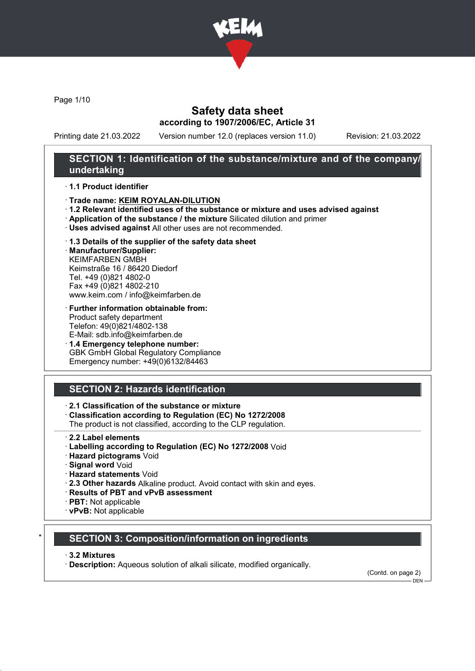

Page 1/10

# Safety data sheet according to 1907/2006/EC, Article 31

Printing date 21.03.2022 Version number 12.0 (replaces version 11.0) Revision: 21.03.2022

# SECTION 1: Identification of the substance/mixture and of the company/ undertaking

#### · 1.1 Product identifier

- · Trade name: KEIM ROYALAN-DILUTION
- · 1.2 Relevant identified uses of the substance or mixture and uses advised against
- · Application of the substance / the mixture Silicated dilution and primer
- · Uses advised against All other uses are not recommended.
- · 1.3 Details of the supplier of the safety data sheet

· Manufacturer/Supplier: KEIMFARBEN GMBH Keimstraße 16 / 86420 Diedorf Tel. +49 (0)821 4802-0 Fax +49 (0)821 4802-210 www.keim.com / info@keimfarben.de

- · Further information obtainable from: Product safety department Telefon: 49(0)821/4802-138 E-Mail: sdb.info@keimfarben.de
- · 1.4 Emergency telephone number: GBK GmbH Global Regulatory Compliance Emergency number: +49(0)6132/84463

# SECTION 2: Hazards identification

### · 2.1 Classification of the substance or mixture

- · Classification according to Regulation (EC) No 1272/2008
- The product is not classified, according to the CLP regulation.
- 2.2 Label elements
- · Labelling according to Regulation (EC) No 1272/2008 Void
- · Hazard pictograms Void
- · Signal word Void
- · Hazard statements Void
- · 2.3 Other hazards Alkaline product. Avoid contact with skin and eyes.
- · Results of PBT and vPvB assessment
- · PBT: Not applicable
- · vPvB: Not applicable

# **SECTION 3: Composition/information on ingredients**

#### · 3.2 Mixtures

· Description: Aqueous solution of alkali silicate, modified organically.

(Contd. on page 2)  $-$  DEN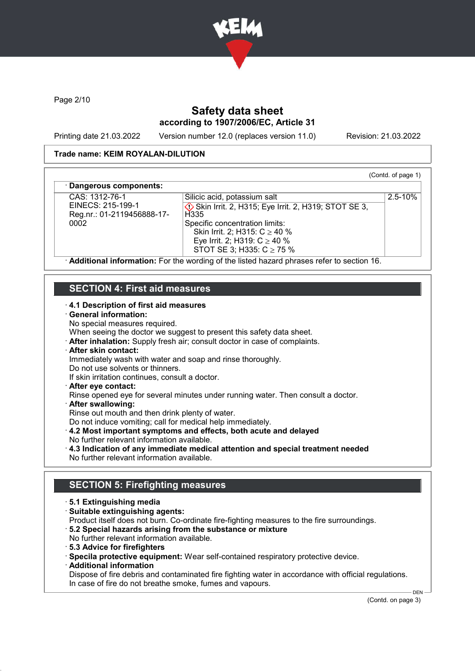

Page 2/10

# Safety data sheet according to 1907/2006/EC, Article 31

Printing date 21.03.2022 Version number 12.0 (replaces version 11.0) Revision: 21.03.2022

(Contd. of page 1)

2.5-10%

#### Trade name: KEIM ROYALAN-DILUTION

#### Dangerous components:

CAS: 1312-76-1 EINECS: 215-199-1 Reg.nr.: 01-2119456888-17- 0002

**♦ Skin Irrit. 2, H315; Eye Irrit. 2, H319; STOT SE 3, H335** Specific concentration limits: Skin Irrit. 2; H315: C ≥ 40 % Eye Irrit. 2; H319: C ≥ 40 % STOT SE 3; H335: C ≥ 75 %

Silicic acid, potassium salt

· Additional information: For the wording of the listed hazard phrases refer to section 16.

# SECTION 4: First aid measures

#### · 4.1 Description of first aid measures

#### · General information:

No special measures required.

When seeing the doctor we suggest to present this safety data sheet.

· After inhalation: Supply fresh air; consult doctor in case of complaints.

# · After skin contact:

- Immediately wash with water and soap and rinse thoroughly.
- Do not use solvents or thinners.
- If skin irritation continues, consult a doctor.
- · After eye contact:

Rinse opened eye for several minutes under running water. Then consult a doctor.

- After swallowing:
- Rinse out mouth and then drink plenty of water.

Do not induce vomiting; call for medical help immediately.

- · 4.2 Most important symptoms and effects, both acute and delayed
- No further relevant information available.
- · 4.3 Indication of any immediate medical attention and special treatment needed No further relevant information available.

# SECTION 5: Firefighting measures

- · 5.1 Extinguishing media
- · Suitable extinguishing agents:

Product itself does not burn. Co-ordinate fire-fighting measures to the fire surroundings.

- · 5.2 Special hazards arising from the substance or mixture
- No further relevant information available.
- · 5.3 Advice for firefighters

· Specila protective equipment: Wear self-contained respiratory protective device.

· Additional information

Dispose of fire debris and contaminated fire fighting water in accordance with official regulations. In case of fire do not breathe smoke, fumes and vapours.

(Contd. on page 3)

 $DEN$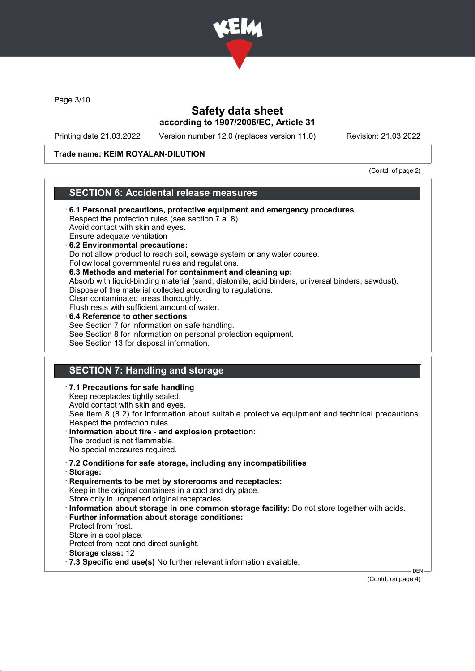

Page 3/10

# Safety data sheet according to 1907/2006/EC, Article 31

Printing date 21.03.2022 Version number 12.0 (replaces version 11.0) Revision: 21.03.2022

#### Trade name: KEIM ROYALAN-DILUTION

(Contd. of page 2)

# SECTION 6: Accidental release measures

· 6.1 Personal precautions, protective equipment and emergency procedures Respect the protection rules (see section 7 a. 8). Avoid contact with skin and eyes. Ensure adequate ventilation · 6.2 Environmental precautions: Do not allow product to reach soil, sewage system or any water course. Follow local governmental rules and regulations. · 6.3 Methods and material for containment and cleaning up: Absorb with liquid-binding material (sand, diatomite, acid binders, universal binders, sawdust). Dispose of the material collected according to regulations. Clear contaminated areas thoroughly. Flush rests with sufficient amount of water. 6.4 Reference to other sections See Section 7 for information on safe handling. See Section 8 for information on personal protection equipment. See Section 13 for disposal information. SECTION 7: Handling and storage

· 7.1 Precautions for safe handling Keep receptacles tightly sealed. Avoid contact with skin and eyes. See item 8 (8.2) for information about suitable protective equipment and technical precautions. Respect the protection rules. Information about fire - and explosion protection: The product is not flammable. No special measures required. · 7.2 Conditions for safe storage, including any incompatibilities · Storage: · Requirements to be met by storerooms and receptacles: Keep in the original containers in a cool and dry place. Store only in unopened original receptacles. · Information about storage in one common storage facility: Do not store together with acids. · Further information about storage conditions: Protect from frost. Store in a cool place. Protect from heat and direct sunlight. · Storage class: 12 · 7.3 Specific end use(s) No further relevant information available. DEN

(Contd. on page 4)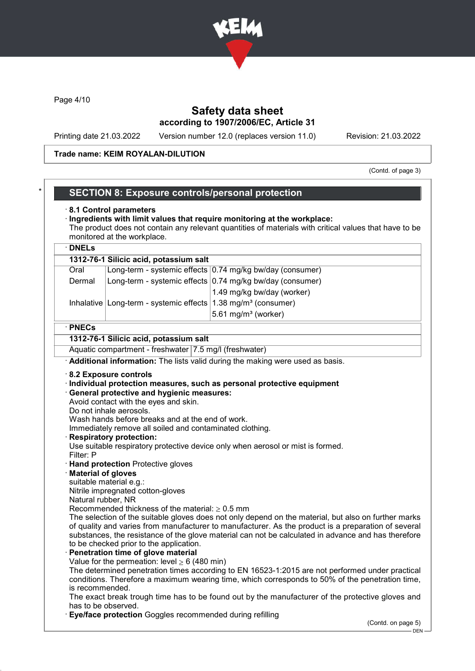

Page 4/10

# Safety data sheet according to 1907/2006/EC, Article 31

Printing date 21.03.2022 Version number 12.0 (replaces version 11.0) Revision: 21.03.2022

#### Trade name: KEIM ROYALAN-DILUTION

(Contd. of page 3)

# SECTION 8: Exposure controls/personal protection

#### · 8.1 Control parameters

#### · Ingredients with limit values that require monitoring at the workplace: The product does not contain any relevant quantities of materials with critical values that have to be monitored at the workplace.

# · DNELs

| 1312-76-1 Silicic acid, potassium salt |                                                                             |                                                           |  |  |  |
|----------------------------------------|-----------------------------------------------------------------------------|-----------------------------------------------------------|--|--|--|
| Oral                                   |                                                                             | Long-term - systemic effects 0.74 mg/kg bw/day (consumer) |  |  |  |
| Dermal                                 |                                                                             | Long-term - systemic effects 0.74 mg/kg bw/day (consumer) |  |  |  |
|                                        |                                                                             | 1.49 mg/kg bw/day (worker)                                |  |  |  |
|                                        | Inhalative Long-term - systemic effects $1.38$ mg/m <sup>3</sup> (consumer) |                                                           |  |  |  |

# $5.61$  mg/m $3$  (worker)

#### · PNECs

#### 1312-76-1 Silicic acid, potassium salt

Aquatic compartment - freshwater 7.5 mg/l (freshwater)

· Additional information: The lists valid during the making were used as basis.

#### · 8.2 Exposure controls

· Individual protection measures, such as personal protective equipment

#### · General protective and hygienic measures:

Avoid contact with the eyes and skin.

Do not inhale aerosols.

Wash hands before breaks and at the end of work.

Immediately remove all soiled and contaminated clothing.

**Respiratory protection:** 

Use suitable respiratory protective device only when aerosol or mist is formed. Filter: P

- · Hand protection Protective gloves
- **Material of gloves**
- suitable material e.g.:

Nitrile impregnated cotton-gloves

Natural rubber, NR

Recommended thickness of the material:  $\geq 0.5$  mm

The selection of the suitable gloves does not only depend on the material, but also on further marks of quality and varies from manufacturer to manufacturer. As the product is a preparation of several substances, the resistance of the glove material can not be calculated in advance and has therefore to be checked prior to the application.

#### Penetration time of glove material

Value for the permeation: level  $\geq 6$  (480 min)

The determined penetration times according to EN 16523-1:2015 are not performed under practical conditions. Therefore a maximum wearing time, which corresponds to 50% of the penetration time, is recommended.

The exact break trough time has to be found out by the manufacturer of the protective gloves and has to be observed.

**Eye/face protection** Goggles recommended during refilling

(Contd. on page 5)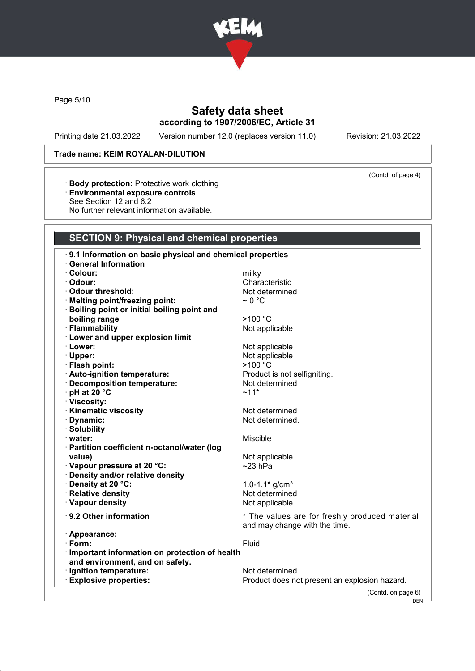

Page 5/10

# Safety data sheet according to 1907/2006/EC, Article 31

Printing date 21.03.2022 Version number 12.0 (replaces version 11.0) Revision: 21.03.2022

(Contd. of page 4)

# Trade name: KEIM ROYALAN-DILUTION

- · Body protection: Protective work clothing
- · Environmental exposure controls
- See Section 12 and 6.2
- No further relevant information available.

# SECTION 9: Physical and chemical properties

| 9.1 Information on basic physical and chemical properties<br><b>General Information</b> |                                                |
|-----------------------------------------------------------------------------------------|------------------------------------------------|
| · Colour:                                                                               | milky                                          |
| · Odour:                                                                                | Characteristic                                 |
| Odour threshold:                                                                        |                                                |
|                                                                                         | Not determined                                 |
| · Melting point/freezing point:                                                         | $\sim$ 0 °C                                    |
| · Boiling point or initial boiling point and                                            |                                                |
| boiling range                                                                           | >100 °C                                        |
| · Flammability                                                                          | Not applicable                                 |
| <b>Lower and upper explosion limit</b>                                                  |                                                |
| · Lower:                                                                                | Not applicable                                 |
| $\cdot$ Upper:                                                                          | Not applicable                                 |
| · Flash point:                                                                          | >100 °C                                        |
| · Auto-ignition temperature:                                                            | Product is not selfigniting.                   |
| · Decomposition temperature:                                                            | Not determined                                 |
| · pH at 20 °C                                                                           | $~11*$                                         |
| · Viscosity:                                                                            |                                                |
| · Kinematic viscosity                                                                   | Not determined                                 |
| · Dynamic:                                                                              | Not determined.                                |
| · Solubility                                                                            |                                                |
| · water:                                                                                | Miscible                                       |
| · Partition coefficient n-octanol/water (log                                            |                                                |
| value)                                                                                  | Not applicable                                 |
| · Vapour pressure at 20 °C:                                                             | $~23$ hPa                                      |
| · Density and/or relative density                                                       |                                                |
| · Density at 20 °C:                                                                     | 1.0-1.1 $*$ g/cm <sup>3</sup>                  |
| · Relative density                                                                      | Not determined                                 |
| · Vapour density                                                                        | Not applicable.                                |
| ⋅ 9.2 Other information                                                                 | * The values are for freshly produced material |
|                                                                                         | and may change with the time.                  |
| · Appearance:                                                                           |                                                |
| $\cdot$ Form:                                                                           | Fluid                                          |
| Important information on protection of health                                           |                                                |
| and environment, and on safety.                                                         |                                                |
| · Ignition temperature:                                                                 | Not determined                                 |
| <b>Explosive properties:</b>                                                            | Product does not present an explosion hazard.  |
|                                                                                         | (Contd. on page 6)                             |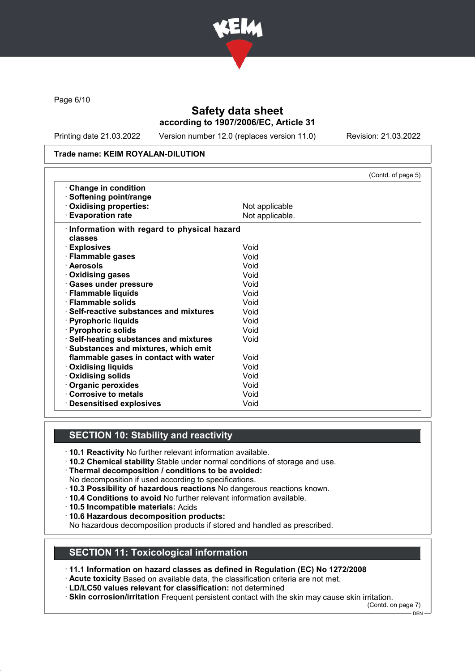

Page 6/10

# Safety data sheet according to 1907/2006/EC, Article 31

Printing date 21.03.2022 Version number 12.0 (replaces version 11.0) Revision: 21.03.2022

#### Trade name: KEIM ROYALAN-DILUTION

|                                            |                 | (Contd. of page 5) |
|--------------------------------------------|-----------------|--------------------|
| <b>Change in condition</b>                 |                 |                    |
| · Softening point/range                    |                 |                    |
| Oxidising properties:                      | Not applicable  |                    |
| <b>Evaporation rate</b>                    | Not applicable. |                    |
| Information with regard to physical hazard |                 |                    |
| classes                                    |                 |                    |
| · Explosives                               | Void            |                    |
| · Flammable gases                          | Void            |                    |
| · Aerosols                                 | Void            |                    |
| ⋅ Oxidising gases                          | Void            |                    |
| · Gases under pressure                     | Void            |                    |
| · Flammable liquids                        | Void            |                    |
| · Flammable solids                         | Void            |                    |
| · Self-reactive substances and mixtures    | Void            |                    |
| · Pyrophoric liquids                       | Void            |                    |
| · Pyrophoric solids                        | Void            |                    |
| · Self-heating substances and mixtures     | Void            |                    |
| · Substances and mixtures, which emit      |                 |                    |
| flammable gases in contact with water      | Void            |                    |
| <b>Oxidising liquids</b>                   | Void            |                    |
| Oxidising solids                           | Void            |                    |
| · Organic peroxides                        | Void            |                    |
| Corrosive to metals                        | Void            |                    |
| <b>Desensitised explosives</b>             | Void            |                    |

# SECTION 10: Stability and reactivity

- · 10.1 Reactivity No further relevant information available.
- · 10.2 Chemical stability Stable under normal conditions of storage and use.
- · Thermal decomposition / conditions to be avoided:
- No decomposition if used according to specifications.
- · 10.3 Possibility of hazardous reactions No dangerous reactions known.
- · 10.4 Conditions to avoid No further relevant information available.
- · 10.5 Incompatible materials: Acids
- · 10.6 Hazardous decomposition products:

No hazardous decomposition products if stored and handled as prescribed.

#### SECTION 11: Toxicological information

· 11.1 Information on hazard classes as defined in Regulation (EC) No 1272/2008

· Acute toxicity Based on available data, the classification criteria are not met.

· LD/LC50 values relevant for classification: not determined

· Skin corrosion/irritation Frequent persistent contact with the skin may cause skin irritation.

(Contd. on page 7)

<sup>-</sup> DEN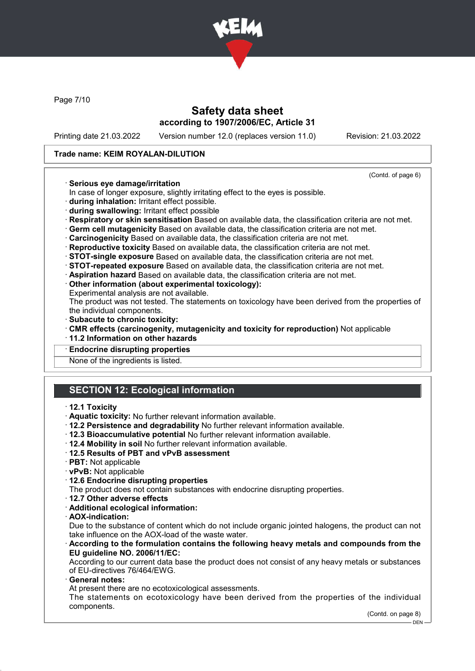

Page 7/10

# Safety data sheet according to 1907/2006/EC, Article 31

Printing date 21.03.2022 Version number 12.0 (replaces version 11.0) Revision: 21.03.2022

(Contd. of page 6)

#### Trade name: KEIM ROYALAN-DILUTION

#### · Serious eye damage/irritation

- In case of longer exposure, slightly irritating effect to the eyes is possible.
- · during inhalation: Irritant effect possible.
- · during swallowing: Irritant effect possible
- · Respiratory or skin sensitisation Based on available data, the classification criteria are not met.
- · Germ cell mutagenicity Based on available data, the classification criteria are not met.
- · Carcinogenicity Based on available data, the classification criteria are not met.
- · Reproductive toxicity Based on available data, the classification criteria are not met.
- · STOT-single exposure Based on available data, the classification criteria are not met.
- · STOT-repeated exposure Based on available data, the classification criteria are not met.
- · Aspiration hazard Based on available data, the classification criteria are not met.
- · Other information (about experimental toxicology):
- Experimental analysis are not available.

The product was not tested. The statements on toxicology have been derived from the properties of the individual components.

- · Subacute to chronic toxicity:
- · CMR effects (carcinogenity, mutagenicity and toxicity for reproduction) Not applicable
- · 11.2 Information on other hazards

#### **Endocrine disrupting properties**

None of the ingredients is listed.

# SECTION 12: Ecological information

- · 12.1 Toxicity
- · Aquatic toxicity: No further relevant information available.
- · 12.2 Persistence and degradability No further relevant information available.
- · 12.3 Bioaccumulative potential No further relevant information available.
- · 12.4 Mobility in soil No further relevant information available.
- · 12.5 Results of PBT and vPvB assessment
- · PBT: Not applicable
- · vPvB: Not applicable
- · 12.6 Endocrine disrupting properties
- The product does not contain substances with endocrine disrupting properties.
- · 12.7 Other adverse effects
- · Additional ecological information:
- · AOX-indication:

Due to the substance of content which do not include organic jointed halogens, the product can not take influence on the AOX-load of the waste water.

· According to the formulation contains the following heavy metals and compounds from the EU guideline NO. 2006/11/EC:

According to our current data base the product does not consist of any heavy metals or substances of EU-directives 76/464/EWG.

General notes:

At present there are no ecotoxicological assessments.

The statements on ecotoxicology have been derived from the properties of the individual components.

(Contd. on page 8)

DEN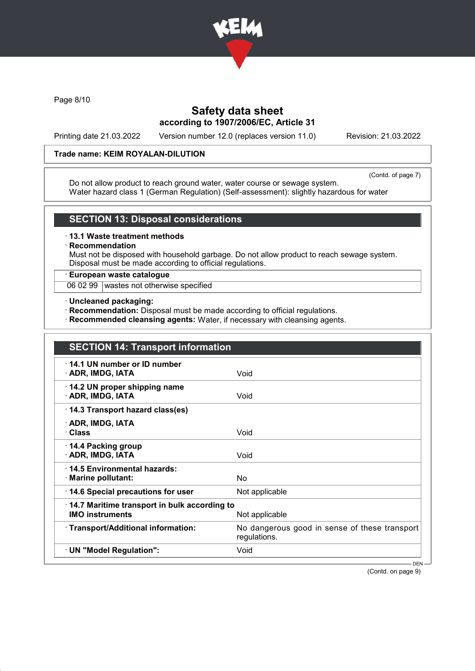

Page 8/10

# Safety data sheet according to 1907/2006/EC, Article 31

Printing date 21.03.2022 Version number 12.0 (replaces version 11.0) Revision: 21.03.2022

#### Trade name: KEIM ROYALAN-DILUTION

(Contd. of page 7)

Do not allow product to reach ground water, water course or sewage system. Water hazard class 1 (German Regulation) (Self-assessment): slightly hazardous for water

#### SECTION 13: Disposal considerations

· 13.1 Waste treatment methods

#### **Recommendation**

Must not be disposed with household garbage. Do not allow product to reach sewage system. Disposal must be made according to official regulations.

# · European waste catalogue

06 02 99 wastes not otherwise specified

#### · Uncleaned packaging:

- · Recommendation: Disposal must be made according to official regulations.
- · Recommended cleansing agents: Water, if necessary with cleansing agents.

| 14.1 UN number or ID number<br>· ADR, IMDG, IATA                       | Void                                                          |
|------------------------------------------------------------------------|---------------------------------------------------------------|
| 14.2 UN proper shipping name<br>· ADR, IMDG, IATA                      | Void                                                          |
| 14.3 Transport hazard class(es)                                        |                                                               |
| · ADR, IMDG, IATA<br>· Class                                           | Void                                                          |
| 14.4 Packing group<br>· ADR, IMDG, IATA                                | Void                                                          |
| ⋅14.5 Environmental hazards:<br>$\cdot$ Marine pollutant:              | <b>No</b>                                                     |
| 14.6 Special precautions for user                                      | Not applicable                                                |
| 14.7 Maritime transport in bulk according to<br><b>IMO instruments</b> | Not applicable                                                |
| · Transport/Additional information:                                    | No dangerous good in sense of these transport<br>regulations. |
| · UN "Model Regulation":                                               | Void                                                          |

(Contd. on page 9)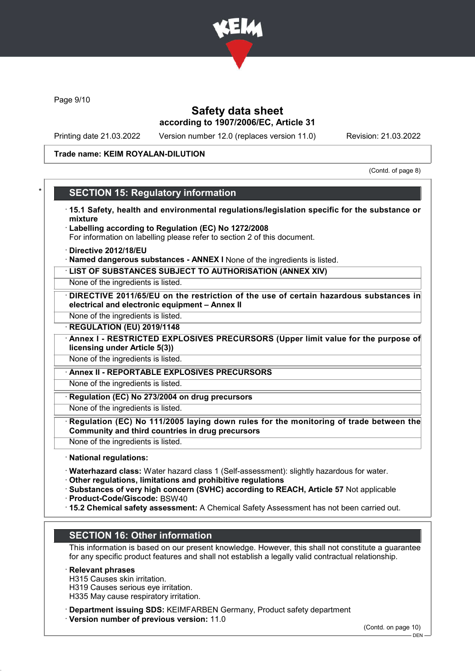

Page 9/10

# Safety data sheet according to 1907/2006/EC, Article 31

Printing date 21.03.2022 Version number 12.0 (replaces version 11.0) Revision: 21.03.2022

#### Trade name: KEIM ROYALAN-DILUTION

(Contd. of page 8)

# **SECTION 15: Regulatory information**

- · 15.1 Safety, health and environmental regulations/legislation specific for the substance or mixture
- Labelling according to Regulation (EC) No 1272/2008 For information on labelling please refer to section 2 of this document.
- · Directive 2012/18/EU
- · Named dangerous substances ANNEX I None of the ingredients is listed.
- · LIST OF SUBSTANCES SUBJECT TO AUTHORISATION (ANNEX XIV)

None of the ingredients is listed.

- DIRECTIVE 2011/65/EU on the restriction of the use of certain hazardous substances in electrical and electronic equipment – Annex II
- None of the ingredients is listed.
- **REGULATION (EU) 2019/1148**
- Annex I RESTRICTED EXPLOSIVES PRECURSORS (Upper limit value for the purpose of licensing under Article 5(3))
- None of the ingredients is listed.
- · Annex II REPORTABLE EXPLOSIVES PRECURSORS

None of the ingredients is listed.

Regulation (EC) No 273/2004 on drug precursors

None of the ingredients is listed.

- Regulation (EC) No 111/2005 laying down rules for the monitoring of trade between the Community and third countries in drug precursors
- None of the ingredients is listed.
- · National regulations:
- · Waterhazard class: Water hazard class 1 (Self-assessment): slightly hazardous for water.
- · Other regulations, limitations and prohibitive regulations
- · Substances of very high concern (SVHC) according to REACH, Article 57 Not applicable
- · Product-Code/Giscode: BSW40
- · 15.2 Chemical safety assessment: A Chemical Safety Assessment has not been carried out.

# SECTION 16: Other information

This information is based on our present knowledge. However, this shall not constitute a guarantee for any specific product features and shall not establish a legally valid contractual relationship.

#### · Relevant phrases

- H315 Causes skin irritation.
- H319 Causes serious eye irritation.
- H335 May cause respiratory irritation.
- · Department issuing SDS: KEIMFARBEN Germany, Product safety department
- · Version number of previous version: 11.0

(Contd. on page 10)

 $-$  DEN